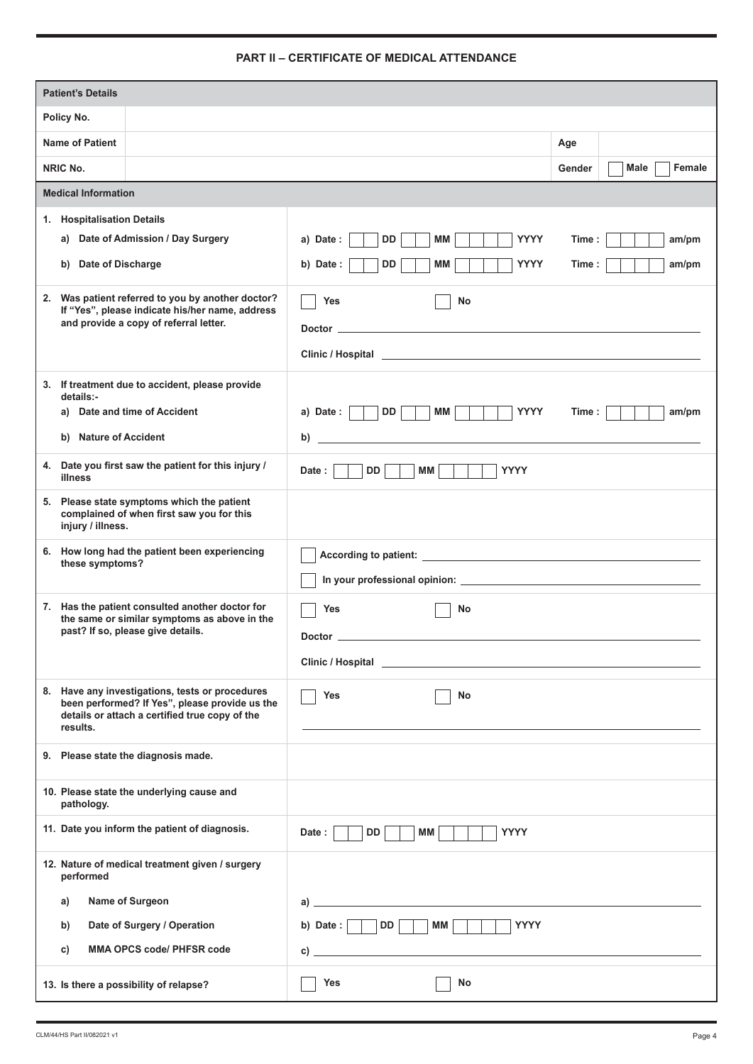## **PART II – CERTIFICATE OF MEDICAL ATTENDANCE**

| <b>Patient's Details</b>                                                                                     |                                                                                                                                                                                                                                                                                                   |                          |  |  |
|--------------------------------------------------------------------------------------------------------------|---------------------------------------------------------------------------------------------------------------------------------------------------------------------------------------------------------------------------------------------------------------------------------------------------|--------------------------|--|--|
| Policy No.                                                                                                   |                                                                                                                                                                                                                                                                                                   |                          |  |  |
| <b>Name of Patient</b>                                                                                       |                                                                                                                                                                                                                                                                                                   | Age                      |  |  |
| NRIC No.                                                                                                     |                                                                                                                                                                                                                                                                                                   | Female<br>Male<br>Gender |  |  |
| <b>Medical Information</b>                                                                                   |                                                                                                                                                                                                                                                                                                   |                          |  |  |
| <b>Hospitalisation Details</b><br>1.                                                                         |                                                                                                                                                                                                                                                                                                   |                          |  |  |
| Date of Admission / Day Surgery<br>a)                                                                        | DD<br>МM<br><b>YYYY</b><br>a) Date:                                                                                                                                                                                                                                                               | Time:<br>am/pm           |  |  |
| Date of Discharge<br>b)                                                                                      | <b>DD</b><br><b>MM</b><br><b>YYYY</b><br>b) Date :                                                                                                                                                                                                                                                | Time:<br>am/pm           |  |  |
|                                                                                                              |                                                                                                                                                                                                                                                                                                   |                          |  |  |
| 2. Was patient referred to you by another doctor?<br>If "Yes", please indicate his/her name, address         | Yes<br>No                                                                                                                                                                                                                                                                                         |                          |  |  |
| and provide a copy of referral letter.                                                                       | Doctor <b>Doctor Doctor Doctor Doctor Doctor Doctor Doctor Doctor Doctor Doctor Doctor Doctor Doctor Doctor Doctor Doctor Doctor Doctor Doctor Doctor Doctor Doctor Doctor Doctor</b>                                                                                                             |                          |  |  |
|                                                                                                              |                                                                                                                                                                                                                                                                                                   |                          |  |  |
| 3. If treatment due to accident, please provide                                                              |                                                                                                                                                                                                                                                                                                   |                          |  |  |
| details:-<br>a) Date and time of Accident                                                                    | DD<br>МM<br><b>YYYY</b><br>a) Date: $\vert$ $\vert$                                                                                                                                                                                                                                               | Time :<br>am/pm          |  |  |
| b) Nature of Accident                                                                                        | b)<br><u> 1990 - Johann Barbara, martin amerikan personal (</u>                                                                                                                                                                                                                                   |                          |  |  |
| Date you first saw the patient for this injury /<br>4.                                                       | <b>DD</b><br><b>MM</b><br><b>YYYY</b><br>Date :                                                                                                                                                                                                                                                   |                          |  |  |
| illness                                                                                                      |                                                                                                                                                                                                                                                                                                   |                          |  |  |
| 5. Please state symptoms which the patient<br>complained of when first saw you for this<br>injury / illness. |                                                                                                                                                                                                                                                                                                   |                          |  |  |
| How long had the patient been experiencing<br>6.<br>these symptoms?                                          |                                                                                                                                                                                                                                                                                                   |                          |  |  |
|                                                                                                              |                                                                                                                                                                                                                                                                                                   |                          |  |  |
| Has the patient consulted another doctor for<br>7.<br>the same or similar symptoms as above in the           | Yes<br>No                                                                                                                                                                                                                                                                                         |                          |  |  |
| past? If so, please give details.                                                                            | <b>Doctor</b>                                                                                                                                                                                                                                                                                     |                          |  |  |
|                                                                                                              |                                                                                                                                                                                                                                                                                                   |                          |  |  |
| 8. Have any investigations, tests or procedures                                                              |                                                                                                                                                                                                                                                                                                   |                          |  |  |
| been performed? If Yes", please provide us the<br>details or attach a certified true copy of the             | <b>Yes</b><br>No                                                                                                                                                                                                                                                                                  |                          |  |  |
| results.                                                                                                     |                                                                                                                                                                                                                                                                                                   |                          |  |  |
| 9. Please state the diagnosis made.                                                                          |                                                                                                                                                                                                                                                                                                   |                          |  |  |
| 10. Please state the underlying cause and<br>pathology.                                                      |                                                                                                                                                                                                                                                                                                   |                          |  |  |
| 11. Date you inform the patient of diagnosis.                                                                | <b>YYYY</b><br>DD  <br>MM<br>Date:                                                                                                                                                                                                                                                                |                          |  |  |
| 12. Nature of medical treatment given / surgery<br>performed                                                 |                                                                                                                                                                                                                                                                                                   |                          |  |  |
| Name of Surgeon<br>a)                                                                                        | $\mathsf{a})$ and $\mathsf{a}$ and $\mathsf{a}$ and $\mathsf{a}$ and $\mathsf{a}$ and $\mathsf{a}$ and $\mathsf{a}$ and $\mathsf{a}$ and $\mathsf{a}$ and $\mathsf{a}$ and $\mathsf{a}$ and $\mathsf{a}$ and $\mathsf{a}$ and $\mathsf{a}$ and $\mathsf{a}$ and $\mathsf{a}$ and $\mathsf{a}$ and |                          |  |  |
| Date of Surgery / Operation<br>b)                                                                            | b) Date : $\Box$ DD $\Box$<br>MM<br><b>YYYY</b>                                                                                                                                                                                                                                                   |                          |  |  |
| <b>MMA OPCS code/ PHFSR code</b><br>C)                                                                       | $\mathsf{c})$ $\overline{\phantom{a}}$                                                                                                                                                                                                                                                            |                          |  |  |
| 13. Is there a possibility of relapse?                                                                       | Yes<br>No                                                                                                                                                                                                                                                                                         |                          |  |  |